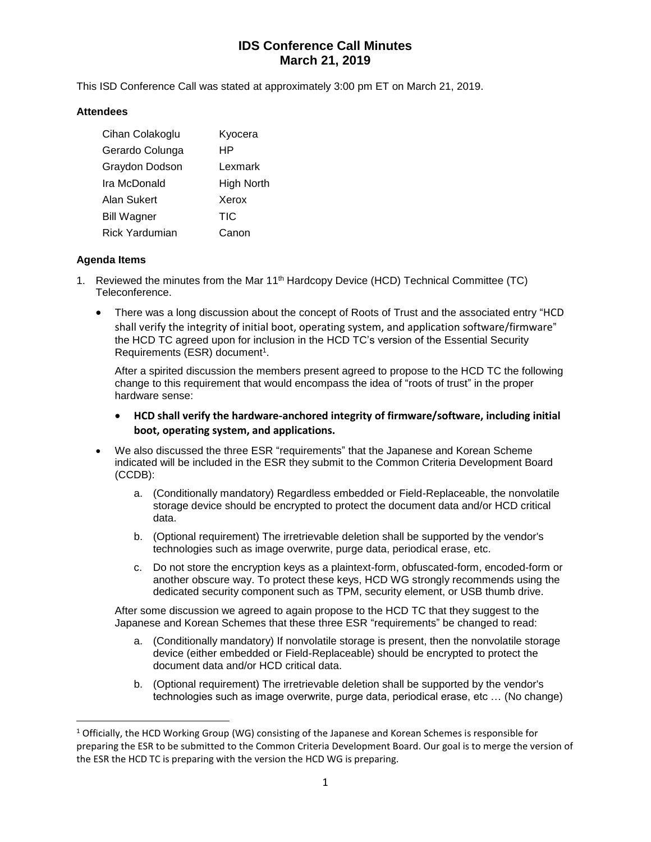# **IDS Conference Call Minutes March 21, 2019**

This ISD Conference Call was stated at approximately 3:00 pm ET on March 21, 2019.

#### **Attendees**

| Cihan Colakoglu       | Kyocera    |
|-----------------------|------------|
| Gerardo Colunga       | НP         |
| Graydon Dodson        | Lexmark    |
| Ira McDonald          | High North |
| Alan Sukert           | Xerox      |
| <b>Bill Wagner</b>    | <b>TIC</b> |
| <b>Rick Yardumian</b> | Canon      |

### **Agenda Items**

 $\overline{a}$ 

- 1. Reviewed the minutes from the Mar 11th Hardcopy Device (HCD) Technical Committee (TC) Teleconference.
	- There was a long discussion about the concept of Roots of Trust and the associated entry "HCD shall verify the integrity of initial boot, operating system, and application software/firmware" the HCD TC agreed upon for inclusion in the HCD TC's version of the Essential Security Requirements (ESR) document<sup>1</sup>.

After a spirited discussion the members present agreed to propose to the HCD TC the following change to this requirement that would encompass the idea of "roots of trust" in the proper hardware sense:

- **HCD shall verify the hardware-anchored integrity of firmware/software, including initial boot, operating system, and applications.**
- We also discussed the three ESR "requirements" that the Japanese and Korean Scheme indicated will be included in the ESR they submit to the Common Criteria Development Board (CCDB):
	- a. (Conditionally mandatory) Regardless embedded or Field-Replaceable, the nonvolatile storage device should be encrypted to protect the document data and/or HCD critical data.
	- b. (Optional requirement) The irretrievable deletion shall be supported by the vendor's technologies such as image overwrite, purge data, periodical erase, etc.
	- c. Do not store the encryption keys as a plaintext-form, obfuscated-form, encoded-form or another obscure way. To protect these keys, HCD WG strongly recommends using the dedicated security component such as TPM, security element, or USB thumb drive.

After some discussion we agreed to again propose to the HCD TC that they suggest to the Japanese and Korean Schemes that these three ESR "requirements" be changed to read:

- a. (Conditionally mandatory) If nonvolatile storage is present, then the nonvolatile storage device (either embedded or Field-Replaceable) should be encrypted to protect the document data and/or HCD critical data.
- b. (Optional requirement) The irretrievable deletion shall be supported by the vendor's technologies such as image overwrite, purge data, periodical erase, etc … (No change)

<sup>&</sup>lt;sup>1</sup> Officially, the HCD Working Group (WG) consisting of the Japanese and Korean Schemes is responsible for preparing the ESR to be submitted to the Common Criteria Development Board. Our goal is to merge the version of the ESR the HCD TC is preparing with the version the HCD WG is preparing.